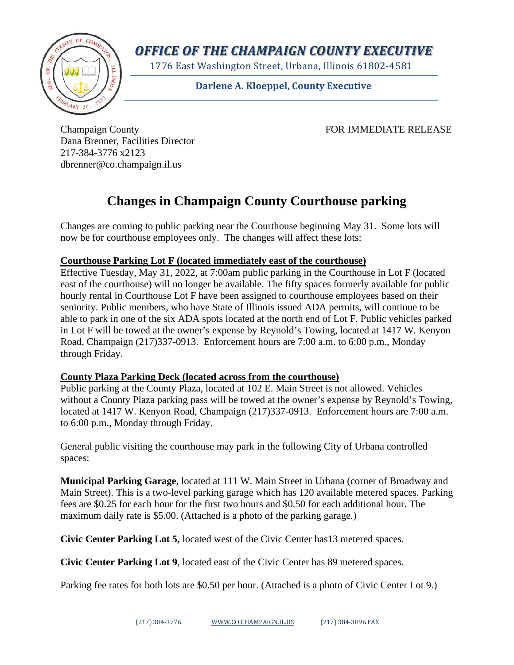

*OFFICE OF THE CHAMPAIGN COUNTY EXECUTIVE*

1776 East Washington Street, Urbana, Illinois 61802-4581

**Darlene A. Kloeppel, County Executive**

Champaign County FOR IMMEDIATE RELEASE Dana Brenner, Facilities Director 217-384-3776 x2123 dbrenner@co.champaign.il.us

## **Changes in Champaign County Courthouse parking**

Changes are coming to public parking near the Courthouse beginning May 31. Some lots will now be for courthouse employees only. The changes will affect these lots:

## **Courthouse Parking Lot F (located immediately east of the courthouse)**

Effective Tuesday, May 31, 2022, at 7:00am public parking in the Courthouse in Lot F (located east of the courthouse) will no longer be available. The fifty spaces formerly available for public hourly rental in Courthouse Lot F have been assigned to courthouse employees based on their seniority. Public members, who have State of Illinois issued ADA permits, will continue to be able to park in one of the six ADA spots located at the north end of Lot F. Public vehicles parked in Lot F will be towed at the owner's expense by Reynold's Towing, located at 1417 W. Kenyon Road, Champaign (217)337-0913. Enforcement hours are 7:00 a.m. to 6:00 p.m., Monday through Friday.

## **County Plaza Parking Deck (located across from the courthouse)**

Public parking at the County Plaza, located at 102 E. Main Street is not allowed. Vehicles without a County Plaza parking pass will be towed at the owner's expense by Reynold's Towing, located at 1417 W. Kenyon Road, Champaign (217)337-0913. Enforcement hours are 7:00 a.m. to 6:00 p.m., Monday through Friday.

General public visiting the courthouse may park in the following City of Urbana controlled spaces:

**Municipal Parking Garage**, located at 111 W. Main Street in Urbana (corner of Broadway and Main Street). This is a two-level parking garage which has 120 available metered spaces. Parking fees are \$0.25 for each hour for the first two hours and \$0.50 for each additional hour. The maximum daily rate is \$5.00. (Attached is a photo of the parking garage.)

**Civic Center Parking Lot 5,** located west of the Civic Center has13 metered spaces.

**Civic Center Parking Lot 9**, located east of the Civic Center has 89 metered spaces.

Parking fee rates for both lots are \$0.50 per hour. (Attached is a photo of Civic Center Lot 9.)